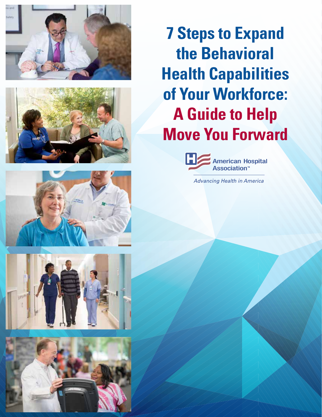



**7 Steps to Expand the Behavioral Health Capabilities of Your Workforce: A Guide to Help Move You Forward**



**Advancing Health in America** 





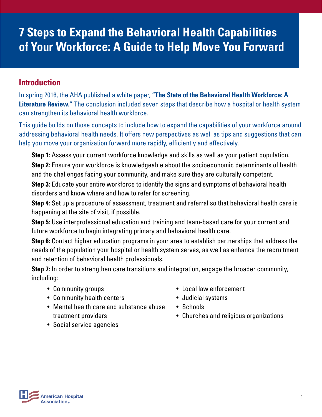# **7 Steps to Expand the Behavioral Health Capabilities of Your Workforce: A Guide to Help Move You Forward**

### **Introduction**

In spring 2016, the AHA published a white paper, "**The State of the Behavioral Health Workforce: A Literature Review.**" The conclusion included seven steps that describe how a hospital or health system can strengthen its behavioral health workforce.

This guide builds on those concepts to include how to expand the capabilities of your workforce around addressing behavioral health needs. It offers new perspectives as well as tips and suggestions that can help you move your organization forward more rapidly, efficiently and effectively.

**Step 1:** Assess your current workforce knowledge and skills as well as your patient population.

**Step 2:** Ensure your workforce is knowledgeable about the socioeconomic determinants of health and the challenges facing your community, and make sure they are culturally competent.

**Step 3:** Educate your entire workforce to identify the signs and symptoms of behavioral health disorders and know where and how to refer for screening.

**Step 4:** Set up a procedure of assessment, treatment and referral so that behavioral health care is happening at the site of visit, if possible.

**Step 5:** Use interprofessional education and training and team-based care for your current and future workforce to begin integrating primary and behavioral health care.

**Step 6:** Contact higher education programs in your area to establish partnerships that address the needs of the population your hospital or health system serves, as well as enhance the recruitment and retention of behavioral health professionals.

**Step 7:** In order to strengthen care transitions and integration, engage the broader community, including:

- Community groups
- Community health centers
- Mental health care and substance abuse treatment providers
- Local law enforcement
- Judicial systems
- Schools
- Churches and religious organizations

• Social service agencies

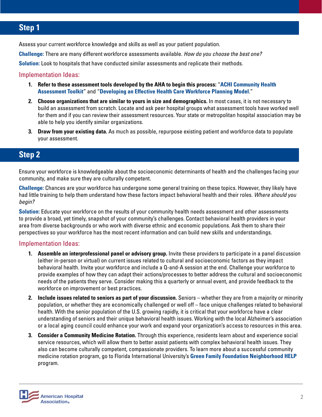## **Step 1**

Assess your current workforce knowledge and skills as well as your patient population.

**Challenge:** There are many different workforce assessments available. How do you choose the best one?

**Solution:** Look to hospitals that have conducted similar assessments and replicate their methods.

#### Implementation Ideas:

- **1. Refer to these assessment tools developed by the AHA to begin this process:** "**ACHI Community Health Assessment Toolkit**" and "**Developing an Effective Health Care Workforce Planning Model**."
- **2. Choose organizations that are similar to yours in size and demographics.** In most cases, it is not necessary to build an assessment from scratch. Locate and ask peer hospital groups what assessment tools have worked well for them and if you can review their assessment resources. Your state or metropolitan hospital association may be able to help you identify similar organizations.
- **3. Draw from your existing data.** As much as possible, repurpose existing patient and workforce data to populate your assessment.

### **Step 2**

Ensure your workforce is knowledgeable about the socioeconomic determinants of health and the challenges facing your community, and make sure they are culturally competent.

**Challenge:** Chances are your workforce has undergone some general training on these topics. However, they likely have had little training to help them understand how these factors impact behavioral health and their roles. Where should you begin?

**Solution:** Educate your workforce on the results of your community health needs assessment and other assessments to provide a broad, yet timely, snapshot of your community's challenges. Contact behavioral health providers in your area from diverse backgrounds or who work with diverse ethnic and economic populations. Ask them to share their perspectives so your workforce has the most recent information and can build new skills and understandings.

#### Implementation Ideas:

- **1. Assemble an interprofessional panel or advisory group.** Invite these providers to participate in a panel discussion (either in-person or virtual) on current issues related to cultural and socioeconomic factors as they impact behavioral health. Invite your workforce and include a Q-and-A session at the end. Challenge your workforce to provide examples of how they can adapt their actions/processes to better address the cultural and socioeconomic needs of the patients they serve. Consider making this a quarterly or annual event, and provide feedback to the workforce on improvement or best practices.
- **2. Include issues related to seniors as part of your discussion.** Seniors whether they are from a majority or minority population, or whether they are economically challenged or well off – face unique challenges related to behavioral health. With the senior population of the U.S. growing rapidly, it is critical that your workforce have a clear understanding of seniors and their unique behavioral health issues. Working with the local Alzheimer's association or a local aging council could enhance your work and expand your organization's access to resources in this area.
- **3. Consider a Community Medicine Rotation.** Through this experience, residents learn about and experience social service resources, which will allow them to better assist patients with complex behavioral health issues. They also can become culturally competent, compassionate providers. To learn more about a successful community medicine rotation program, go to Florida International University's **Green Family Foundation Neighborhood HELP** program.

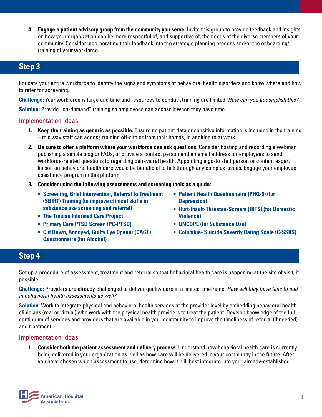**4. Engage a patient advisory group from the community you serve.** Invite this group to provide feedback and insights on how your organization can be more respectful of, and supportive of, the needs of the diverse members of your community. Consider incorporating their feedback into the strategic planning process and/or the onboarding/ training of your workforce.

### **Step 3**

Educate your entire workforce to identify the signs and symptoms of behavioral health disorders and know where and how to refer for screening.

**Challenge:** Your workforce is large and time and resources to conduct training are limited. How can you accomplish this?

**Solution:** Provide "on-demand" training so employees can access it when they have time.

### Implementation Ideas:

- **1. Keep the training as generic as possible.** Ensure no patient data or sensitive information is included in the training – this way staff can access training off-site or from their homes, in addition to at work.
- **2. Be sure to offer a platform where your workforce can ask questions.** Consider hosting and recording a webinar, publishing a simple blog or FAQs, or provide a contact person and an email address for employees to send workforce-related questions to regarding behavioral health. Appointing a go-to staff person or content expert liaison on behavioral health care would be beneficial to talk through any complex issues. Engage your employee assistance program in this platform.
- **3. Consider using the following assessments and screening tools as a guide:**
	- **• Screening, Brief Intervention, Referral to Treatment (SBIRT) Training (to improve clinical skills in substance use screening and referral)**
	- **• The Trauma Informed Care Project**
	- **• Primary Care PTSD Screen (PC-PTSD)**
	- **• Cut Down, Annoyed, Guilty Eye Opener (CAGE) Questionnaire (for Alcohol)**
- **• Patient Health Questionnaire (PHQ-9) (for Depression)**
- **• Hurt-Insult-Threaten-Scream (HITS) (for Domestic Violence)**
- **• UNCOPE (for Substance Use)**
- **• Columbia- Suicide Severity Rating Scale (C-SSRS)**

### **Step 4**

Set up a procedure of assessment, treatment and referral so that behavioral health care is happening at the site of visit, if possible.

**Challenge:** Providers are already challenged to deliver quality care in a limited timeframe. How will they have time to add in behavioral health assessments as well?

**Solution:** Work to integrate physical and behavioral health services at the provider level by embedding behavioral health clinicians (real or virtual) who work with the physical health providers to treat the patient. Develop knowledge of the full continuum of services and providers that are available in your community to improve the timeliness of referral (if needed) and treatment.

#### Implementation Ideas:

**1. Consider both the patient assessment and delivery process.** Understand how behavioral health care is currently being delivered in your organization as well as how care will be delivered in your community in the future. After you have chosen which assessment to use, determine how it will best integrate into your already-established

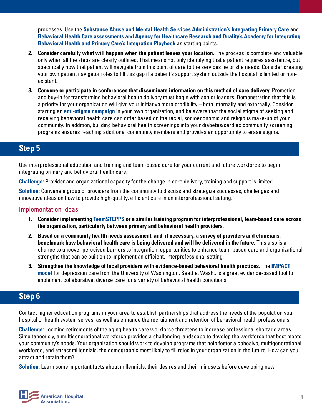processes. Use the **Substance Abuse and Mental Health Services Administration's Integrating Primary Care** and **Behavioral Health Care assessments and Agency for Healthcare Research and Quality's Academy for Integrating Behavioral Health and Primary Care's Integration Playbook** as starting points.

- **2. Consider carefully what will happen when the patient leaves your location.** The process is complete and valuable only when all the steps are clearly outlined. That means not only identifying that a patient requires assistance, but specifically how that patient will navigate from this point of care to the services he or she needs. Consider creating your own patient navigator roles to fill this gap if a patient's support system outside the hospital is limited or nonexistent.
- **3. Convene or participate in conferences that disseminate information on this method of care delivery.** Promotion and buy-in for transforming behavioral health delivery must begin with senior leaders. Demonstrating that this is a priority for your organization will give your initiative more credibility – both internally and externally. Consider starting an **anti-stigma campaign** in your own organization, and be aware that the social stigma of seeking and receiving behavioral health care can differ based on the racial, socioeconomic and religious make-up of your community. In addition, building behavioral health screenings into your diabetes/cardiac community screening programs ensures reaching additional community members and provides an opportunity to erase stigma.

### **Step 5**

Use interprofessional education and training and team-based care for your current and future workforce to begin integrating primary and behavioral health care.

**Challenge:** Provider and organizational capacity for the change in care delivery, training and support is limited.

**Solution:** Convene a group of providers from the community to discuss and strategize successes, challenges and innovative ideas on how to provide high-quality, efficient care in an interprofessional setting.

#### Implementation Ideas:

- **1. Consider implementing TeamSTEPPS or a similar training program for interprofessional, team-based care across the organization, particularly between primary and behavioral health providers.**
- **2. Based on a community health needs assessment, and, if necessary, a survey of providers and clinicians, benchmark how behavioral health care is being delivered and will be delivered in the future.** This also is a chance to uncover perceived barriers to integration, opportunities to enhance team-based care and organizational strengths that can be built on to implement an efficient, interprofessional setting.
- **3. Strengthen the knowledge of local providers with evidence-based behavioral health practices.** The **IMPACT model** for depression care from the University of Washington, Seattle, Wash., is a great evidence-based tool to implement collaborative, diverse care for a variety of behavioral health conditions.

### **Step 6**

Contact higher education programs in your area to establish partnerships that address the needs of the population your hospital or health system serves, as well as enhance the recruitment and retention of behavioral health professionals.

**Challenge:** Looming retirements of the aging health care workforce threatens to increase professional shortage areas. Simultaneously, a multigenerational workforce provides a challenging landscape to develop the workforce that best meets your community's needs. Your organization should work to develop programs that help foster a cohesive, multigenerational workforce, and attract millennials, the demographic most likely to fill roles in your organization in the future. How can you attract and retain them?

**Solution:** Learn some important facts about millennials, their desires and their mindsets before developing new

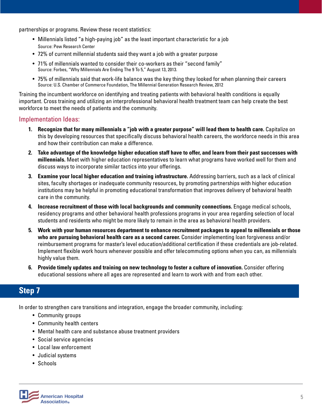partnerships or programs. Review these recent statistics:

- Millennials listed "a high-paying job" as the least important characteristic for a job Source: Pew Research Center
- 72% of current millennial students said they want a job with a greater purpose
- 71% of millennials wanted to consider their co-workers as their "second family" Source: Forbes, "Why Millennials Are Ending The 9 To 5," August 13, 2013.
- 75% of millennials said that work-life balance was the key thing they looked for when planning their careers Source: U.S. Chamber of Commerce Foundation, The Millennial Generation Research Review, 2012

Training the incumbent workforce on identifying and treating patients with behavioral health conditions is equally important. Cross training and utilizing an interprofessional behavioral health treatment team can help create the best workforce to meet the needs of patients and the community.

#### Implementation Ideas:

- **1. Recognize that for many millennials a "job with a greater purpose" will lead them to health care.** Capitalize on this by developing resources that specifically discuss behavioral health careers, the workforce needs in this area and how their contribution can make a difference.
- **2. Take advantage of the knowledge higher education staff have to offer, and learn from their past successes with millennials.** Meet with higher education representatives to learn what programs have worked well for them and discuss ways to incorporate similar tactics into your offerings.
- **3. Examine your local higher education and training infrastructure.** Addressing barriers, such as a lack of clinical sites, faculty shortages or inadequate community resources, by promoting partnerships with higher education institutions may be helpful in promoting educational transformation that improves delivery of behavioral health care in the community.
- **4. Increase recruitment of those with local backgrounds and community connections.** Engage medical schools, residency programs and other behavioral health professions programs in your area regarding selection of local students and residents who might be more likely to remain in the area as behavioral health providers.
- **5. Work with your human resources department to enhance recruitment packages to appeal to millennials or those who are pursuing behavioral health care as a second career.** Consider implementing loan forgiveness and/or reimbursement programs for master's level education/additional certification if these credentials are job-related. Implement flexible work hours whenever possible and offer telecommuting options when you can, as millennials highly value them.
- **6. Provide timely updates and training on new technology to foster a culture of innovation.** Consider offering educational sessions where all ages are represented and learn to work with and from each other.

### **Step 7**

In order to strengthen care transitions and integration, engage the broader community, including:

- Community groups
- Community health centers
- Mental health care and substance abuse treatment providers
- Social service agencies
- Local law enforcement
- Judicial systems
- Schools